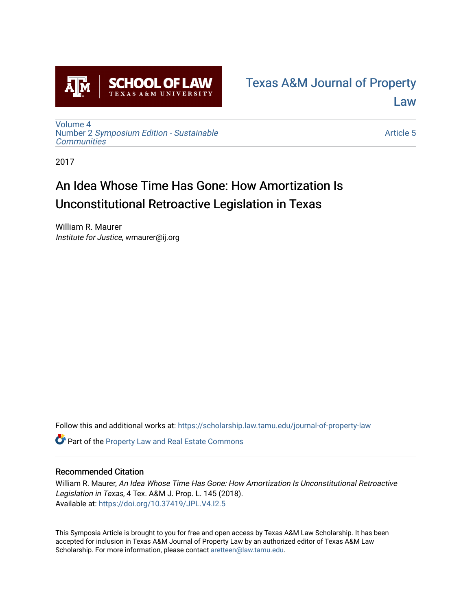

## [Texas A&M Journal of Property](https://scholarship.law.tamu.edu/journal-of-property-law)  [Law](https://scholarship.law.tamu.edu/journal-of-property-law)

[Volume 4](https://scholarship.law.tamu.edu/journal-of-property-law/vol4) Number 2 [Symposium Edition - Sustainable](https://scholarship.law.tamu.edu/journal-of-property-law/vol4/iss2)  **[Communities](https://scholarship.law.tamu.edu/journal-of-property-law/vol4/iss2)** 

[Article 5](https://scholarship.law.tamu.edu/journal-of-property-law/vol4/iss2/5) 

2017

# An Idea Whose Time Has Gone: How Amortization Is Unconstitutional Retroactive Legislation in Texas

William R. Maurer Institute for Justice, wmaurer@ij.org

Follow this and additional works at: [https://scholarship.law.tamu.edu/journal-of-property-law](https://scholarship.law.tamu.edu/journal-of-property-law?utm_source=scholarship.law.tamu.edu%2Fjournal-of-property-law%2Fvol4%2Fiss2%2F5&utm_medium=PDF&utm_campaign=PDFCoverPages)

Part of the [Property Law and Real Estate Commons](http://network.bepress.com/hgg/discipline/897?utm_source=scholarship.law.tamu.edu%2Fjournal-of-property-law%2Fvol4%2Fiss2%2F5&utm_medium=PDF&utm_campaign=PDFCoverPages) 

### Recommended Citation

William R. Maurer, An Idea Whose Time Has Gone: How Amortization Is Unconstitutional Retroactive Legislation in Texas, 4 Tex. A&M J. Prop. L. 145 (2018). Available at:<https://doi.org/10.37419/JPL.V4.I2.5>

This Symposia Article is brought to you for free and open access by Texas A&M Law Scholarship. It has been accepted for inclusion in Texas A&M Journal of Property Law by an authorized editor of Texas A&M Law Scholarship. For more information, please contact [aretteen@law.tamu.edu](mailto:aretteen@law.tamu.edu).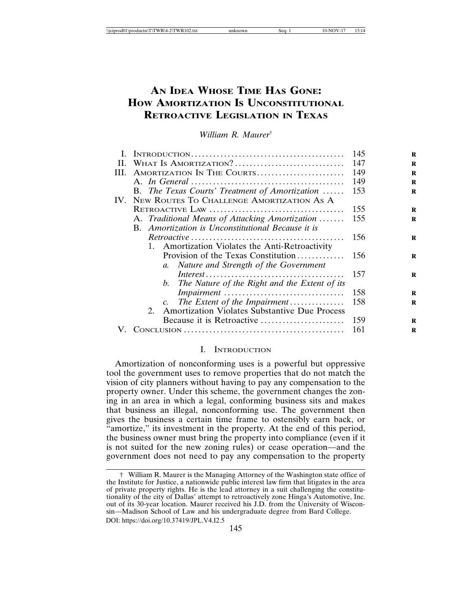## **AN IDEA WHOSE TIME HAS GONE: HOW AMORTIZATION IS UNCONSTITUTIONAL RETROACTIVE LEGISLATION IN TEXAS**

*William R. Maurer*†

| L.  |                                                                 | 145 |
|-----|-----------------------------------------------------------------|-----|
| H.  | WHAT IS AMORTIZATION?                                           | 147 |
| HL. | AMORTIZATION IN THE COURTS                                      | 149 |
|     |                                                                 | 149 |
|     | B. The Texas Courts' Treatment of Amortization                  | 153 |
| IV. | NEW ROUTES TO CHALLENGE AMORTIZATION AS A                       |     |
|     |                                                                 | 155 |
|     | A. Traditional Means of Attacking Amortization                  | 155 |
|     | B. Amortization is Unconstitutional Because it is               |     |
|     |                                                                 | 156 |
|     | 1. Amortization Violates the Anti-Retroactivity                 |     |
|     | Provision of the Texas Constitution                             | 156 |
|     | a. Nature and Strength of the Government                        |     |
|     |                                                                 | 157 |
|     | b. The Nature of the Right and the Extent of its                |     |
|     | Impairment                                                      | 158 |
|     |                                                                 | 158 |
|     | <b>Amortization Violates Substantive Due Process</b><br>$2_{1}$ |     |
|     | Because it is Retroactive                                       | 159 |
|     |                                                                 | 161 |

#### I. INTRODUCTION

Amortization of nonconforming uses is a powerful but oppressive tool the government uses to remove properties that do not match the vision of city planners without having to pay any compensation to the property owner. Under this scheme, the government changes the zoning in an area in which a legal, conforming business sits and makes that business an illegal, nonconforming use. The government then gives the business a certain time frame to ostensibly earn back, or "amortize," its investment in the property. At the end of this period, the business owner must bring the property into compliance (even if it is not suited for the new zoning rules) or cease operation—and the government does not need to pay any compensation to the property

<sup>†</sup> William R. Maurer is the Managing Attorney of the Washington state office of the Institute for Justice, a nationwide public interest law firm that litigates in the area of private property rights. He is the lead attorney in a suit challenging the constitutionality of the city of Dallas' attempt to retroactively zone Hinga's Automotive, Inc. out of its 30-year location. Maurer received his J.D. from the University of Wisconsin—Madison School of Law and his undergraduate degree from Bard College. DOI: https://doi.org/10.37419/JPL.V4.I2.5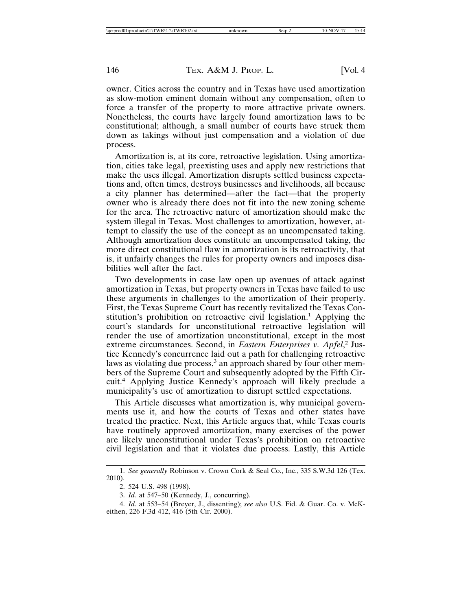owner. Cities across the country and in Texas have used amortization as slow-motion eminent domain without any compensation, often to force a transfer of the property to more attractive private owners. Nonetheless, the courts have largely found amortization laws to be constitutional; although, a small number of courts have struck them down as takings without just compensation and a violation of due process.

Amortization is, at its core, retroactive legislation. Using amortization, cities take legal, preexisting uses and apply new restrictions that make the uses illegal. Amortization disrupts settled business expectations and, often times, destroys businesses and livelihoods, all because a city planner has determined—after the fact—that the property owner who is already there does not fit into the new zoning scheme for the area. The retroactive nature of amortization should make the system illegal in Texas. Most challenges to amortization, however, attempt to classify the use of the concept as an uncompensated taking. Although amortization does constitute an uncompensated taking, the more direct constitutional flaw in amortization is its retroactivity, that is, it unfairly changes the rules for property owners and imposes disabilities well after the fact.

Two developments in case law open up avenues of attack against amortization in Texas, but property owners in Texas have failed to use these arguments in challenges to the amortization of their property. First, the Texas Supreme Court has recently revitalized the Texas Constitution's prohibition on retroactive civil legislation.<sup>1</sup> Applying the court's standards for unconstitutional retroactive legislation will render the use of amortization unconstitutional, except in the most extreme circumstances. Second, in *Eastern Enterprises v. Apfel*,<sup>2</sup> Justice Kennedy's concurrence laid out a path for challenging retroactive laws as violating due process,<sup>3</sup> an approach shared by four other members of the Supreme Court and subsequently adopted by the Fifth Circuit.<sup>4</sup> Applying Justice Kennedy's approach will likely preclude a municipality's use of amortization to disrupt settled expectations.

This Article discusses what amortization is, why municipal governments use it, and how the courts of Texas and other states have treated the practice. Next, this Article argues that, while Texas courts have routinely approved amortization, many exercises of the power are likely unconstitutional under Texas's prohibition on retroactive civil legislation and that it violates due process. Lastly, this Article

<sup>1.</sup> See generally Robinson v. Crown Cork & Seal Co., Inc., 335 S.W.3d 126 (Tex. 2010).

<sup>2. 524</sup> U.S. 498 (1998).

<sup>3.</sup> Id. at 547-50 (Kennedy, J., concurring).

<sup>4.</sup> Id. at 553-54 (Breyer, J., dissenting); see also U.S. Fid. & Guar. Co. v. McKeithen, 226 F.3d 412, 416 (5th Cir. 2000).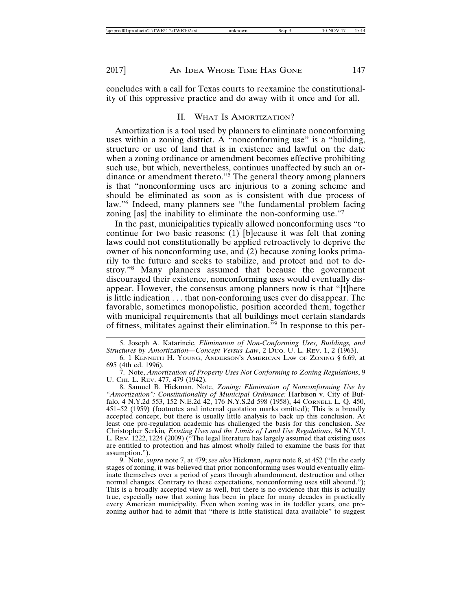concludes with a call for Texas courts to reexamine the constitutionality of this oppressive practice and do away with it once and for all.

#### **WHAT IS AMORTIZATION?** H.

Amortization is a tool used by planners to eliminate nonconforming uses within a zoning district. A "nonconforming use" is a "building, structure or use of land that is in existence and lawful on the date when a zoning ordinance or amendment becomes effective prohibiting such use, but which, nevertheless, continues unaffected by such an ordinance or amendment thereto."<sup>5</sup> The general theory among planners is that "nonconforming uses are injurious to a zoning scheme and should be eliminated as soon as is consistent with due process of law."<sup>6</sup> Indeed, many planners see "the fundamental problem facing zoning [as] the inability to eliminate the non-conforming use."7

In the past, municipalities typically allowed nonconforming uses "to" continue for two basic reasons: (1) [b]ecause it was felt that zoning laws could not constitutionally be applied retroactively to deprive the owner of his nonconforming use, and (2) because zoning looks primarily to the future and seeks to stabilize, and protect and not to destroy."<sup>8</sup> Many planners assumed that because the government discouraged their existence, nonconforming uses would eventually disappear. However, the consensus among planners now is that "[t] here is little indication . . . that non-conforming uses ever do disappear. The favorable, sometimes monopolistic, position accorded them, together with municipal requirements that all buildings meet certain standards of fitness, militates against their elimination."<sup>9</sup> In response to this per-

8. Samuel B. Hickman, Note, Zoning: Elimination of Nonconforming Use by "Amortization": Constitutionality of Municipal Ordinance: Harbison v. City of Buffalo, 4 N.Y.2d 553, 152 N.E.2d 42, 176 N.Y.S.2d 598 (1958), 44 CORNELL L. Q. 450, 451–52 (1959) (footnotes and internal quotation marks omitted); This is a broadly accepted concept, but there is usually little analysis to back up this conclusion. At least one pro-regulation academic has challenged the basis for this conclusion. See Christopher Serkin, Existing Uses and the Limits of Land Use Regulations, 84 N.Y.U. L. REV. 1222, 1224 (2009) ("The legal literature has largely assumed that existing uses<br>are entitled to protection and has almost wholly failed to examine the basis for that assumption.").

9. Note, *supra* note 7, at 479; see also Hickman, *supra* note 8, at 452 ("In the early stages of zoning, it was believed that prior nonconforming uses would eventually eliminate themselves over a period of years through abandonment, destruction and other normal changes. Contrary to these expectations, nonconforming uses still abound."); This is a broadly accepted view as well, but there is no evidence that this is actually true, especially now that zoning has been in place for many decades in practically every American municipality. Even when zoning was in its toddler years, one prozoning author had to admit that "there is little statistical data available" to suggest

<sup>5.</sup> Joseph A. Katarincic, Elimination of Non-Conforming Uses, Buildings, and Structures by Amortization-Concept Versus Law, 2 Dvo. U. L. REV. 1, 2 (1963).

<sup>6. 1</sup> KENNETH H. YOUNG, ANDERSON'S AMERICAN LAW OF ZONING § 6.69, at 695 (4th ed. 1996).

<sup>7.</sup> Note, Amortization of Property Uses Not Conforming to Zoning Regulations, 9 U. CHI. L. REV. 477, 479 (1942).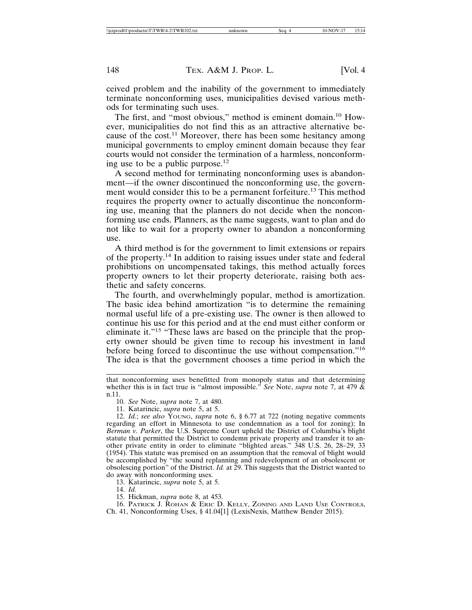ceived problem and the inability of the government to immediately terminate nonconforming uses, municipalities devised various methods for terminating such uses.

The first, and "most obvious," method is eminent domain.<sup>10</sup> However, municipalities do not find this as an attractive alternative because of the cost.<sup>11</sup> Moreover, there has been some hesitancy among municipal governments to employ eminent domain because they fear courts would not consider the termination of a harmless, nonconforming use to be a public purpose. $^{12}$ 

A second method for terminating nonconforming uses is abandonment—if the owner discontinued the nonconforming use, the government would consider this to be a permanent forfeiture.<sup>13</sup> This method requires the property owner to actually discontinue the nonconforming use, meaning that the planners do not decide when the nonconforming use ends. Planners, as the name suggests, want to plan and do not like to wait for a property owner to abandon a nonconforming use.

A third method is for the government to limit extensions or repairs of the property.<sup>14</sup> In addition to raising issues under state and federal prohibitions on uncompensated takings, this method actually forces property owners to let their property deteriorate, raising both aesthetic and safety concerns.

The fourth, and overwhelmingly popular, method is amortization. The basic idea behind amortization "is to determine the remaining normal useful life of a pre-existing use. The owner is then allowed to continue his use for this period and at the end must either conform or eliminate it."<sup>15</sup> "These laws are based on the principle that the property owner should be given time to recoup his investment in land before being forced to discontinue the use without compensation."<sup>16</sup> The idea is that the government chooses a time period in which the

10. See Note, supra note 7, at 480.

11. Katarincic, *supra* note 5, at 5.

12. Id.; see also YOUNG, supra note 6, § 6.77 at 722 (noting negative comments regarding an effort in Minnesota to use condemnation as a tool for zoning); In Berman v. Parker, the U.S. Supreme Court upheld the District of Columbia's blight statute that permitted the District to condemn private property and transfer it to another private entity in order to eliminate "blighted areas." 348 U.S. 26, 28–29, 33 (1954). This statute was premised on an assumption that the removal of blight would be accomplished by "the sound replanning and redevelopment of an obsolescent or obsolescing portion" of the District. *Id.* at 29. This suggests that the District wanted to do away with nonconforming uses.

13. Katarincic, *supra* note 5, at 5.

 $14.$   $Id.$ 

15. Hickman, *supra* note 8, at 453.

16. PATRICK J. ROHAN & ERIC D. KELLY, ZONING AND LAND USE CONTROLS, Ch. 41, Nonconforming Uses, § 41.04[1] (LexisNexis, Matthew Bender 2015).

that nonconforming uses benefitted from monopoly status and that determining whether this is in fact true is "almost impossible." See Note, supra note 7, at 479  $\tilde{\&}$ n.11.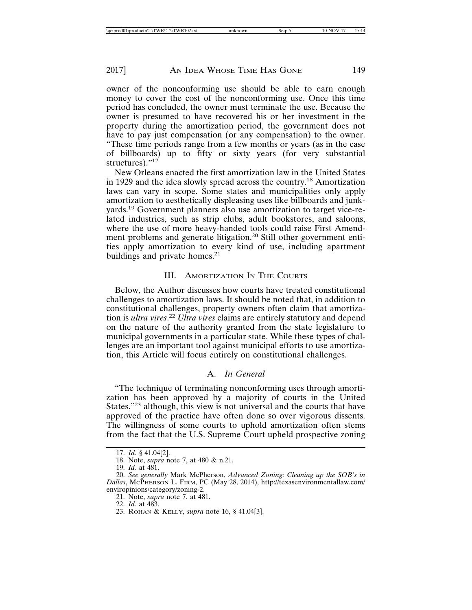owner of the nonconforming use should be able to earn enough money to cover the cost of the nonconforming use. Once this time period has concluded, the owner must terminate the use. Because the owner is presumed to have recovered his or her investment in the property during the amortization period, the government does not have to pay just compensation (or any compensation) to the owner. "These time periods range from a few months or years (as in the case of billboards) up to fifty or sixty years (for very substantial structures). $"17$ 

New Orleans enacted the first amortization law in the United States in 1929 and the idea slowly spread across the country.<sup>18</sup> Amortization laws can vary in scope. Some states and municipalities only apply amortization to aesthetically displeasing uses like billboards and junkyards.<sup>19</sup> Government planners also use amortization to target vice-related industries, such as strip clubs, adult bookstores, and saloons, where the use of more heavy-handed tools could raise First Amendment problems and generate litigation.<sup>20</sup> Still other government entities apply amortization to every kind of use, including apartment buildings and private homes.<sup>21</sup>

#### **III. AMORTIZATION IN THE COURTS**

Below, the Author discusses how courts have treated constitutional challenges to amortization laws. It should be noted that, in addition to constitutional challenges, property owners often claim that amortization is *ultra vires*.<sup>22</sup> Ultra vires claims are entirely statutory and depend on the nature of the authority granted from the state legislature to municipal governments in a particular state. While these types of challenges are an important tool against municipal efforts to use amortization, this Article will focus entirely on constitutional challenges.

### A. In General

"The technique of terminating nonconforming uses through amortization has been approved by a majority of courts in the United States,"<sup>23</sup> although, this view is not universal and the courts that have approved of the practice have often done so over vigorous dissents. The willingness of some courts to uphold amortization often stems from the fact that the U.S. Supreme Court upheld prospective zoning

<sup>17.</sup> Id. § 41.04[2].

<sup>18.</sup> Note, *supra* note 7, at 480 & n.21.

<sup>19.</sup> *Id.* at 481.

<sup>20.</sup> See generally Mark McPherson, Advanced Zoning: Cleaning up the SOB's in Dallas, McPHERSON L. FIRM, PC (May 28, 2014), http://texasenvironmentallaw.com/ enviropinions/category/zoning-2.

<sup>21.</sup> Note, *supra* note 7, at 481.

<sup>22.</sup> *Id.* at 483.

<sup>23.</sup> ROHAN & KELLY, *supra* note 16, § 41.04[3].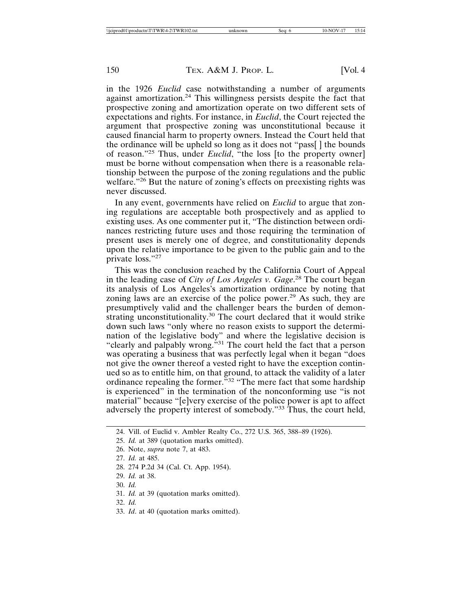in the 1926 *Euclid* case notwithstanding a number of arguments against amortization.<sup>24</sup> This willingness persists despite the fact that prospective zoning and amortization operate on two different sets of expectations and rights. For instance, in *Euclid*, the Court rejected the argument that prospective zoning was unconstitutional because it caused financial harm to property owners. Instead the Court held that the ordinance will be upheld so long as it does not "pass[] the bounds of reason."<sup>25</sup> Thus, under *Euclid*, "the loss [to the property owner] must be borne without compensation when there is a reasonable relationship between the purpose of the zoning regulations and the public welfare."<sup>26</sup> But the nature of zoning's effects on preexisting rights was never discussed.

In any event, governments have relied on *Euclid* to argue that zoning regulations are acceptable both prospectively and as applied to existing uses. As one commenter put it, "The distinction between ordinances restricting future uses and those requiring the termination of present uses is merely one of degree, and constitutionality depends upon the relative importance to be given to the public gain and to the private loss."27

This was the conclusion reached by the California Court of Appeal in the leading case of City of Los Angeles v. Gage.<sup>28</sup> The court began its analysis of Los Angeles's amortization ordinance by noting that zoning laws are an exercise of the police power.<sup>29</sup> As such, they are presumptively valid and the challenger bears the burden of demonstrating unconstitutionality.<sup>30</sup> The court declared that it would strike down such laws "only where no reason exists to support the determination of the legislative body" and where the legislative decision is "clearly and palpably wrong."<sup>31</sup> The court held the fact that a person was operating a business that was perfectly legal when it began "does" not give the owner thereof a vested right to have the exception continued so as to entitle him, on that ground, to attack the validity of a later ordinance repealing the former.<sup>33</sup> "The mere fact that some hardship" is experienced" in the termination of the nonconforming use "is not material" because "[e]very exercise of the police power is apt to affect adversely the property interest of somebody."<sup>33</sup> Thus, the court held,

- 29. *Id.* at 38.
- 30. Id.
- 31. Id. at 39 (quotation marks omitted).
- 32. Id.
- 33. Id. at 40 (quotation marks omitted).

<sup>24.</sup> Vill. of Euclid v. Ambler Realty Co., 272 U.S. 365, 388-89 (1926).

<sup>25.</sup> Id. at 389 (quotation marks omitted).

<sup>26.</sup> Note, *supra* note 7, at 483.

<sup>27.</sup> Id. at 485.

<sup>28. 274</sup> P.2d 34 (Cal. Ct. App. 1954).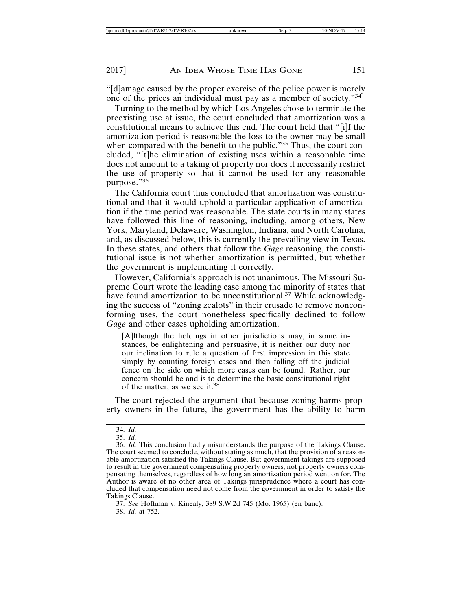"[d] amage caused by the proper exercise of the police power is merely one of the prices an individual must pay as a member of society."34

Turning to the method by which Los Angeles chose to terminate the preexisting use at issue, the court concluded that amortization was a constitutional means to achieve this end. The court held that "[i]f the amortization period is reasonable the loss to the owner may be small when compared with the benefit to the public."<sup>35</sup> Thus, the court concluded, "[t] he elimination of existing uses within a reasonable time does not amount to a taking of property nor does it necessarily restrict the use of property so that it cannot be used for any reasonable purpose."36

The California court thus concluded that amortization was constitutional and that it would uphold a particular application of amortization if the time period was reasonable. The state courts in many states have followed this line of reasoning, including, among others, New York, Maryland, Delaware, Washington, Indiana, and North Carolina, and, as discussed below, this is currently the prevailing view in Texas. In these states, and others that follow the *Gage* reasoning, the constitutional issue is not whether amortization is permitted, but whether the government is implementing it correctly.

However, California's approach is not unanimous. The Missouri Supreme Court wrote the leading case among the minority of states that have found amortization to be unconstitutional.<sup>37</sup> While acknowledging the success of "zoning zealots" in their crusade to remove nonconforming uses, the court nonetheless specifically declined to follow Gage and other cases upholding amortization.

[A]lthough the holdings in other jurisdictions may, in some instances, be enlightening and persuasive, it is neither our duty nor our inclination to rule a question of first impression in this state simply by counting foreign cases and then falling off the judicial fence on the side on which more cases can be found. Rather, our concern should be and is to determine the basic constitutional right of the matter, as we see it.<sup>38</sup>

The court rejected the argument that because zoning harms property owners in the future, the government has the ability to harm

<sup>34.</sup> Id.

<sup>35.</sup> Id.

<sup>36.</sup> Id. This conclusion badly misunderstands the purpose of the Takings Clause. The court seemed to conclude, without stating as much, that the provision of a reasonable amortization satisfied the Takings Clause. But government takings are supposed to result in the government compensating property owners, not property owners compensating themselves, regardless of how long an amortization period went on for. The Author is aware of no other area of Takings jurisprudence where a court has concluded that compensation need not come from the government in order to satisfy the Takings Clause.

<sup>37.</sup> See Hoffman v. Kinealy, 389 S.W.2d 745 (Mo. 1965) (en banc). 38. *Id.* at 752.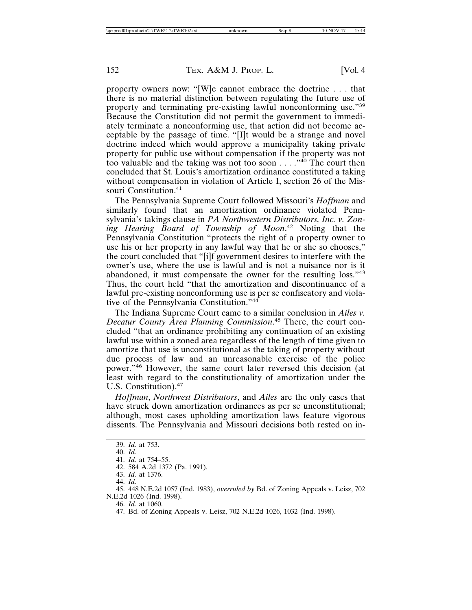property owners now: "[W]e cannot embrace the doctrine . . . that there is no material distinction between regulating the future use of property and terminating pre-existing lawful nonconforming use."39 Because the Constitution did not permit the government to immediately terminate a nonconforming use, that action did not become acceptable by the passage of time. "[I]t would be a strange and novel doctrine indeed which would approve a municipality taking private property for public use without compensation if the property was not too valuable and the taking was not too soon  $\dots$ ."<sup>40</sup> The court then concluded that St. Louis's amortization ordinance constituted a taking without compensation in violation of Article I, section 26 of the Missouri Constitution.<sup>41</sup>

The Pennsylvania Supreme Court followed Missouri's *Hoffman* and similarly found that an amortization ordinance violated Pennsylvania's takings clause in PA Northwestern Distributors, Inc. v. Zoning Hearing Board of Township of Moon.<sup>42</sup> Noting that the Pennsylvania Constitution "protects the right of a property owner to use his or her property in any lawful way that he or she so chooses," the court concluded that "[i]f government desires to interfere with the owner's use, where the use is lawful and is not a nuisance nor is it abandoned, it must compensate the owner for the resulting loss."43 Thus, the court held "that the amortization and discontinuance of a lawful pre-existing nonconforming use is per se confiscatory and violative of the Pennsylvania Constitution."<sup>44</sup>

The Indiana Supreme Court came to a similar conclusion in Ailes v. Decatur County Area Planning Commission.<sup>45</sup> There, the court concluded "that an ordinance prohibiting any continuation of an existing lawful use within a zoned area regardless of the length of time given to amortize that use is unconstitutional as the taking of property without due process of law and an unreasonable exercise of the police power."46 However, the same court later reversed this decision (at least with regard to the constitutionality of amortization under the U.S. Constitution).<sup>47</sup>

Hoffman, Northwest Distributors, and Ailes are the only cases that have struck down amortization ordinances as per se unconstitutional; although, most cases upholding amortization laws feature vigorous dissents. The Pennsylvania and Missouri decisions both rested on in-

<sup>39.</sup> Id. at 753.

 $40.$  *Id.* 

<sup>41.</sup> Id. at 754-55.

<sup>42. 584</sup> A.2d 1372 (Pa. 1991).

<sup>43.</sup> Id. at 1376.

<sup>44.</sup> Id.

<sup>45. 448</sup> N.E.2d 1057 (Ind. 1983), overruled by Bd. of Zoning Appeals v. Leisz, 702 N.E.2d 1026 (Ind. 1998).

<sup>46.</sup> *Id.* at 1060.

<sup>47.</sup> Bd. of Zoning Appeals v. Leisz, 702 N.E.2d 1026, 1032 (Ind. 1998).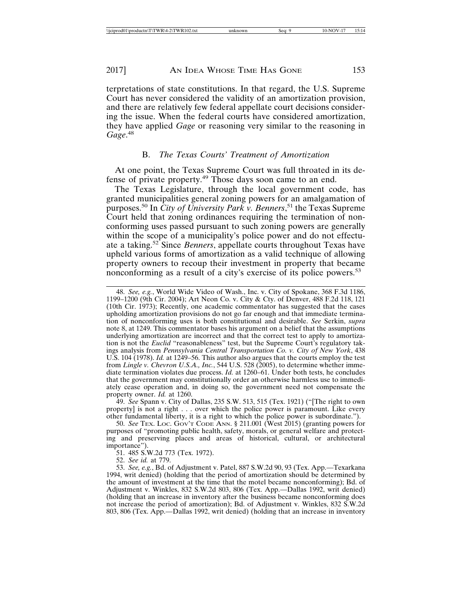2017]

terpretations of state constitutions. In that regard, the U.S. Supreme Court has never considered the validity of an amortization provision, and there are relatively few federal appellate court decisions considering the issue. When the federal courts have considered amortization, they have applied Gage or reasoning very similar to the reasoning in Gage.<sup>48</sup>

#### B. The Texas Courts' Treatment of Amortization

At one point, the Texas Supreme Court was full throated in its defense of private property.<sup>49</sup> Those days soon came to an end.

The Texas Legislature, through the local government code, has granted municipalities general zoning powers for an amalgamation of purposes.<sup>50</sup> In *City of University Park v. Benners*,<sup>51</sup> the Texas Supreme Court held that zoning ordinances requiring the termination of nonconforming uses passed pursuant to such zoning powers are generally within the scope of a municipality's police power and do not effectuate a taking.<sup>52</sup> Since *Benners*, appellate courts throughout Texas have upheld various forms of amortization as a valid technique of allowing property owners to recoup their investment in property that became nonconforming as a result of a city's exercise of its police powers.<sup>53</sup>

48. See, e.g., World Wide Video of Wash., Inc. v. City of Spokane, 368 F.3d 1186, 1199–1200 (9th Cir. 2004); Art Neon Co. v. City & Cty. of Denver, 488 F.2d 118, 121 (10th Cir. 1973); Recently, one academic commentator has suggested that the cases upholding amortization provisions do not go far enough and that immediate termination of nonconforming uses is both constitutional and desirable. See Serkin, supra note 8, at 1249. This commentator bases his argument on a belief that the assumptions underlying amortization are incorrect and that the correct test to apply to amortization is not the *Euclid* "reasonableness" test, but the Supreme Court's regulatory takings analysis from Pennsylvania Central Transportation Co. v. City of New York, 438 U.S. 104 (1978). Id. at 1249–56. This author also argues that the courts employ the test from Lingle v. Chevron U.S.A., Inc., 544 U.S. 528 (2005), to determine whether immediate termination violates due process. *Id.* at 1260–61. Under both tests, he concludes that the government may constitutionally order an otherwise harmless use to immediately cease operation and, in doing so, the government need not compensate the property owner. Id. at 1260.

49. See Spann v. City of Dallas, 235 S.W. 513, 515 (Tex. 1921) ("The right to own property] is not a right . . . over which the police power is paramount. Like every other fundamental liberty, it is a right to which the police power is subordinate.").<br>50. See TEX. LOC. GOV'T CODE ANN. § 211.001 (West 2015) (granting powers for

purposes of "promoting public health, safety, morals, or general welfare and protecting and preserving places and areas of historical, cultural, or architectural importance").

51. 485 S.W.2d 773 (Tex. 1972).

52. See id. at 779.

<sup>53.</sup> See, e.g., Bd. of Adjustment v. Patel, 887 S.W.2d 90, 93 (Tex. App.—Texarkana 1994, writ denied) (holding that the period of amortization should be determined by the amount of investment at the time that the motel became nonconforming); Bd. of Adjustment v. Winkles, 832 S.W.2d 803, 806 (Tex. App.-Dallas 1992, writ denied) (holding that an increase in inventory after the business became nonconforming does not increase the period of amortization); Bd. of Adjustment v. Winkles, 832 S.W.2d 803, 806 (Tex. App.—Dallas 1992, writ denied) (holding that an increase in inventory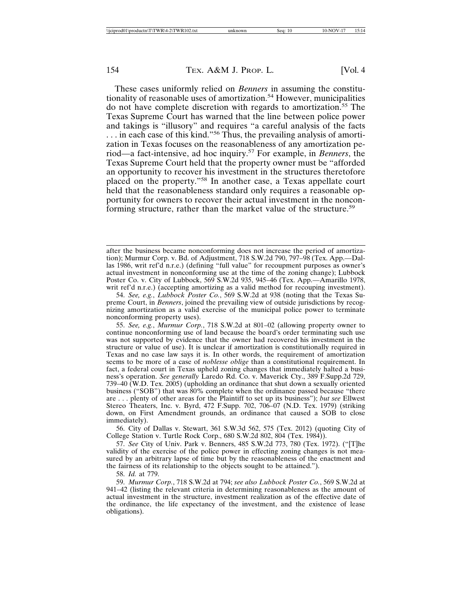These cases uniformly relied on *Benners* in assuming the constitutionality of reasonable uses of amortization.<sup>54</sup> However, municipalities do not have complete discretion with regards to amortization.<sup>55</sup> The Texas Supreme Court has warned that the line between police power and takings is "illusory" and requires "a careful analysis of the facts ... in each case of this kind."<sup>56</sup> Thus, the prevailing analysis of amortization in Texas focuses on the reasonableness of any amortization period—a fact-intensive, ad hoc inquiry.<sup>57</sup> For example, in *Benners*, the Texas Supreme Court held that the property owner must be "afforded" an opportunity to recover his investment in the structures theretofore placed on the property."<sup>58</sup> In another case, a Texas appellate court held that the reasonableness standard only requires a reasonable opportunity for owners to recover their actual investment in the nonconforming structure, rather than the market value of the structure.<sup>59</sup>

56. City of Dallas v. Stewart, 361 S.W.3d 562, 575 (Tex. 2012) (quoting City of College Station v. Turtle Rock Corp., 680 S.W.2d 802, 804 (Tex. 1984)).

57. See City of Univ. Park v. Benners, 485 S.W.2d 773, 780 (Tex. 1972). ("[T]he validity of the exercise of the police power in effecting zoning changes is not measured by an arbitrary lapse of time but by the reasonableness of the enactment and the fairness of its relationship to the objects sought to be attained.").

58. *Id.* at 779.

59. Murmur Corp., 718 S.W.2d at 794; see also Lubbock Poster Co., 569 S.W.2d at 941–42 (listing the relevant criteria in determining reasonableness as the amount of actual investment in the structure, investment realization as of the effective date of the ordinance, the life expectancy of the investment, and the existence of lease obligations).

after the business became nonconforming does not increase the period of amortization); Murmur Corp. v. Bd. of Adjustment, 718 S.W.2d 790, 797-98 (Tex. App.-Dallas 1986, writ ref'd n.r.e.) (defining "full value" for recoupment purposes as owner's actual investment in nonconforming use at the time of the zoning change); Lubbock Poster Co. v. City of Lubbock, 569 S.W.2d 935, 945-46 (Tex. App.--Amarillo 1978, writ ref'd n.r.e.) (accepting amortizing as a valid method for recouping investment).

<sup>54.</sup> See, e.g., Lubbock Poster Co., 569 S.W.2d at 938 (noting that the Texas Supreme Court, in Benners, joined the prevailing view of outside jurisdictions by recognizing amortization as a valid exercise of the municipal police power to terminate nonconforming property uses).

<sup>55.</sup> See, e.g., Murmur Corp., 718 S.W.2d at 801-02 (allowing property owner to continue nonconforming use of land because the board's order terminating such use was not supported by evidence that the owner had recovered his investment in the structure or value of use). It is unclear if amortization is constitutionally required in Texas and no case law says it is. In other words, the requirement of amortization seems to be more of a case of *noblesse oblige* than a constitutional requirement. In fact, a federal court in Texas upheld zoning changes that immediately halted a business's operation. See generally Laredo Rd. Co. v. Maverick Cty., 389 F.Supp.2d 729, 739–40 (W.D. Tex. 2005) (upholding an ordinance that shut down a sexually oriented business ("SOB") that was 80% complete when the ordinance passed because "there are . . . plenty of other areas for the Plaintiff to set up its business"); but see Ellwest Stereo Theaters, Inc. v. Byrd, 472 F.Supp. 702, 706-07 (N.D. Tex. 1979) (striking down, on First Amendment grounds, an ordinance that caused a SOB to close immediately).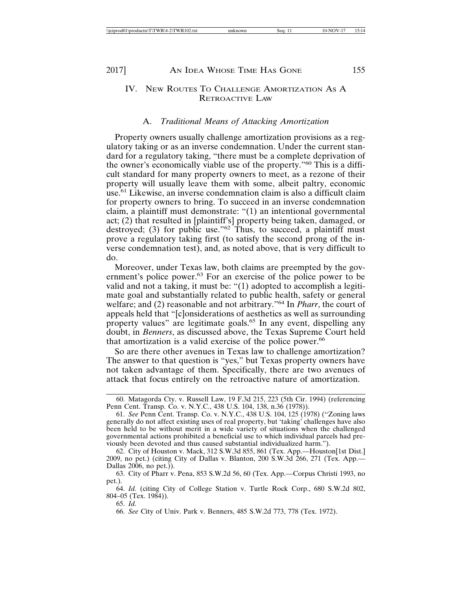### IV. NEW ROUTES TO CHALLENGE AMORTIZATION AS A **RETROACTIVE LAW**

#### A. Traditional Means of Attacking Amortization

Property owners usually challenge amortization provisions as a regulatory taking or as an inverse condemnation. Under the current standard for a regulatory taking, "there must be a complete deprivation of the owner's economically viable use of the property."<sup>60</sup> This is a difficult standard for many property owners to meet, as a rezone of their property will usually leave them with some, albeit paltry, economic use.<sup>61</sup> Likewise, an inverse condemnation claim is also a difficult claim for property owners to bring. To succeed in an inverse condemnation claim, a plaintiff must demonstrate: "(1) an intentional governmental act; (2) that resulted in [plaintiff's] property being taken, damaged, or destroyed; (3) for public use." $62$  Thus, to succeed, a plaintiff must prove a regulatory taking first (to satisfy the second prong of the inverse condemnation test), and, as noted above, that is very difficult to do.

Moreover, under Texas law, both claims are preempted by the government's police power.<sup>63</sup> For an exercise of the police power to be valid and not a taking, it must be: "(1) adopted to accomplish a legitimate goal and substantially related to public health, safety or general welfare; and (2) reasonable and not arbitrary."<sup>64</sup> In *Pharr*, the court of appeals held that "[c]onsiderations of aesthetics as well as surrounding property values" are legitimate goals.<sup>65</sup> In any event, dispelling any doubt, in *Benners*, as discussed above, the Texas Supreme Court held that amortization is a valid exercise of the police power.<sup>66</sup>

So are there other avenues in Texas law to challenge amortization? The answer to that question is "yes," but Texas property owners have not taken advantage of them. Specifically, there are two avenues of attack that focus entirely on the retroactive nature of amortization.

65. Id.

<sup>60.</sup> Matagorda Cty. v. Russell Law, 19 F.3d 215, 223 (5th Cir. 1994) (referencing Penn Cent. Transp. Co. v. N.Y.C., 438 U.S. 104, 138, n.36 (1978)).<br>61. See Penn Cent. Transp. Co. v. N.Y.C., 438 U.S. 104, 138, n.36 (1978)).

generally do not affect existing uses of real property, but 'taking' challenges have also been held to be without merit in a wide variety of situations when the challenged governmental actions prohibited a beneficial use to which individual parcels had previously been devoted and thus caused substantial individualized harm.").

<sup>62.</sup> City of Houston v. Mack, 312 S.W.3d 855, 861 (Tex. App.-Houston[1st Dist.] 2009, no pet.) (citing City of Dallas v. Blanton, 200 S.W.3d 266, 271 (Tex. App.— Dallas 2006, no pet.)).

<sup>63.</sup> City of Pharr v. Pena, 853 S.W.2d 56, 60 (Tex. App.—Corpus Christi 1993, no pet.).

<sup>64.</sup> Id. (citing City of College Station v. Turtle Rock Corp., 680 S.W.2d 802,  $804-05$  (Tex. 1984)).

<sup>66.</sup> See City of Univ. Park v. Benners, 485 S.W.2d 773, 778 (Tex. 1972).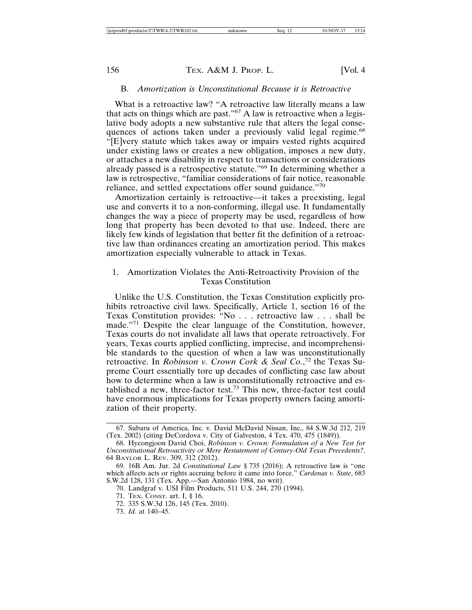#### B. Amortization is Unconstitutional Because it is Retroactive

What is a retroactive law? "A retroactive law literally means a law that acts on things which are past."<sup>67</sup> A law is retroactive when a legislative body adopts a new substantive rule that alters the legal consequences of actions taken under a previously valid legal regime.<sup>68</sup> "[E]very statute which takes away or impairs vested rights acquired under existing laws or creates a new obligation, imposes a new duty, or attaches a new disability in respect to transactions or considerations already passed is a retrospective statute."<sup>69</sup> In determining whether a law is retrospective, "familiar considerations of fair notice, reasonable reliance, and settled expectations offer sound guidance."70

Amortization certainly is retroactive—it takes a preexisting, legal use and converts it to a non-conforming, illegal use. It fundamentally changes the way a piece of property may be used, regardless of how long that property has been devoted to that use. Indeed, there are likely few kinds of legislation that better fit the definition of a retroactive law than ordinances creating an amortization period. This makes amortization especially vulnerable to attack in Texas.

### 1. Amortization Violates the Anti-Retroactivity Provision of the **Texas Constitution**

Unlike the U.S. Constitution, the Texas Constitution explicitly prohibits retroactive civil laws. Specifically, Article 1, section 16 of the Texas Constitution provides: "No . . . retroactive law . . . shall be made."<sup>71</sup> Despite the clear language of the Constitution, however, Texas courts do not invalidate all laws that operate retroactively. For years, Texas courts applied conflicting, imprecise, and incomprehensible standards to the question of when a law was unconstitutionally retroactive. In Robinson v. Crown Cork & Seal Co.,<sup>72</sup> the Texas Supreme Court essentially tore up decades of conflicting case law about how to determine when a law is unconstitutionally retroactive and established a new, three-factor test.<sup>73</sup> This new, three-factor test could have enormous implications for Texas property owners facing amortization of their property.

73. Id. at 140-45.

<sup>67.</sup> Subaru of America, Inc. v. David McDavid Nissan, Inc., 84 S.W.3d 212, 219 (Tex. 2002) (citing DeCordova v. City of Galveston, 4 Tex. 470, 475 (1849)).

<sup>68.</sup> Hyeongjoon David Choi, Robinson v. Crown: Formulation of a New Test for Unconstitutional Retroactivity or Mere Restatement of Century-Old Texas Precedents?, 64 BAYLOR L. REV. 309, 312 (2012).

<sup>69. 16</sup>B Am. Jur. 2d Constitutional Law § 735 (2016); A retroactive law is "one which affects acts or rights accruing before it came into force." Cardenas v. State, 683 S.W.2d 128, 131 (Tex. App.—San Antonio 1984, no writ).

<sup>70.</sup> Landgraf v. USI Film Products, 511 U.S. 244, 270 (1994).

<sup>71.</sup> TEX. CONST. art. I, § 16.

<sup>72. 335</sup> S.W.3d 126, 145 (Tex. 2010).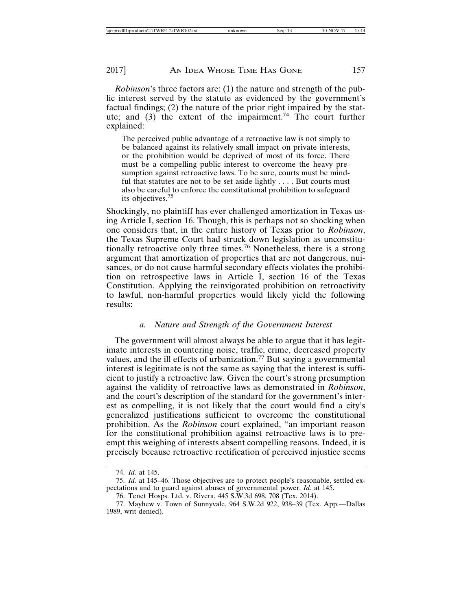2017]

*Robinson's* three factors are: (1) the nature and strength of the public interest served by the statute as evidenced by the government's factual findings; (2) the nature of the prior right impaired by the statute; and  $(3)$  the extent of the impairment.<sup>74</sup> The court further explained:

The perceived public advantage of a retroactive law is not simply to be balanced against its relatively small impact on private interests, or the prohibition would be deprived of most of its force. There must be a compelling public interest to overcome the heavy presumption against retroactive laws. To be sure, courts must be mindful that statutes are not to be set aside lightly . . . . But courts must also be careful to enforce the constitutional prohibition to safeguard its objectives.<sup>75</sup>

Shockingly, no plaintiff has ever challenged amortization in Texas using Article I, section 16. Though, this is perhaps not so shocking when one considers that, in the entire history of Texas prior to Robinson, the Texas Supreme Court had struck down legislation as unconstitutionally retroactive only three times.<sup>76</sup> Nonetheless, there is a strong argument that amortization of properties that are not dangerous, nuisances, or do not cause harmful secondary effects violates the prohibition on retrospective laws in Article I, section 16 of the Texas Constitution. Applying the reinvigorated prohibition on retroactivity to lawful, non-harmful properties would likely yield the following results:

#### Nature and Strength of the Government Interest  $\mathfrak{a}$ .

The government will almost always be able to argue that it has legitimate interests in countering noise, traffic, crime, decreased property values, and the ill effects of urbanization.<sup>77</sup> But saying a governmental interest is legitimate is not the same as saying that the interest is sufficient to justify a retroactive law. Given the court's strong presumption against the validity of retroactive laws as demonstrated in *Robinson*, and the court's description of the standard for the government's interest as compelling, it is not likely that the court would find a city's generalized justifications sufficient to overcome the constitutional prohibition. As the *Robinson* court explained, "an important reason for the constitutional prohibition against retroactive laws is to preempt this weighing of interests absent compelling reasons. Indeed, it is precisely because retroactive rectification of perceived injustice seems

<sup>74.</sup> *Id.* at 145.

<sup>75.</sup> Id. at 145-46. Those objectives are to protect people's reasonable, settled expectations and to guard against abuses of governmental power. Id. at 145.

<sup>76.</sup> Tenet Hosps. Ltd. v. Rivera, 445 S.W.3d 698, 708 (Tex. 2014).

<sup>77.</sup> Mayhew v. Town of Sunnyvale, 964 S.W.2d 922, 938-39 (Tex. App.-Dallas 1989, writ denied).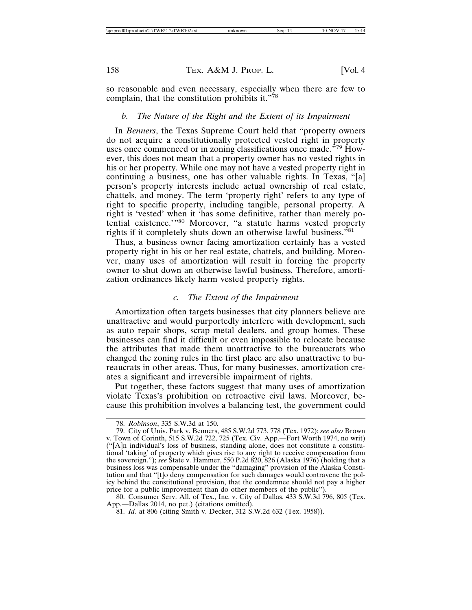so reasonable and even necessary, especially when there are few to complain, that the constitution prohibits it."78

#### $b.$ The Nature of the Right and the Extent of its Impairment

In Benners, the Texas Supreme Court held that "property owners" do not acquire a constitutionally protected vested right in property uses once commenced or in zoning classifications once made."<sup>79</sup> However, this does not mean that a property owner has no vested rights in his or her property. While one may not have a vested property right in continuing a business, one has other valuable rights. In Texas, "[a] person's property interests include actual ownership of real estate, chattels, and money. The term 'property right' refers to any type of right to specific property, including tangible, personal property. A right is 'vested' when it 'has some definitive, rather than merely potential existence."<sup>80</sup> Moreover, "a statute harms vested property rights if it completely shuts down an otherwise lawful business."<sup>81</sup>

Thus, a business owner facing amortization certainly has a vested property right in his or her real estate, chattels, and building. Moreover, many uses of amortization will result in forcing the property owner to shut down an otherwise lawful business. Therefore, amortization ordinances likely harm vested property rights.

#### $\overline{c}$ . The Extent of the Impairment

Amortization often targets businesses that city planners believe are unattractive and would purportedly interfere with development, such as auto repair shops, scrap metal dealers, and group homes. These businesses can find it difficult or even impossible to relocate because the attributes that made them unattractive to the bureaucrats who changed the zoning rules in the first place are also unattractive to bureaucrats in other areas. Thus, for many businesses, amortization creates a significant and irreversible impairment of rights.

Put together, these factors suggest that many uses of amortization violate Texas's prohibition on retroactive civil laws. Moreover, because this prohibition involves a balancing test, the government could

80. Consumer Serv. All. of Tex., Inc. v. City of Dallas, 433 S.W.3d 796, 805 (Tex. App.--Dallas 2014, no pet.) (citations omitted).

<sup>78.</sup> Robinson, 335 S.W.3d at 150.

<sup>79.</sup> City of Univ. Park v. Benners, 485 S.W.2d 773, 778 (Tex. 1972); see also Brown v. Town of Corinth, 515 S.W.2d 722, 725 (Tex. Civ. App.—Fort Worth 1974, no writ) ("[A]n individual's loss of business, standing alone, does not constitute a constitutional 'taking' of property which gives rise to any right to receive compensation from the sovereign."); see State v. Hammer, 550 P.2d 820, 826 (Alaska 1976) (holding that a business loss was compensable under the "damaging" provision of the Alaska Constitution and that "[t]o deny compensation for such damages would contravene the policy behind the constitutional provision, that the condemnee should not pay a higher price for a public improvement than do other members of the public").

<sup>81.</sup> *Id.* at 806 (citing Smith v. Decker, 312 S.W.2d 632 (Tex. 1958)).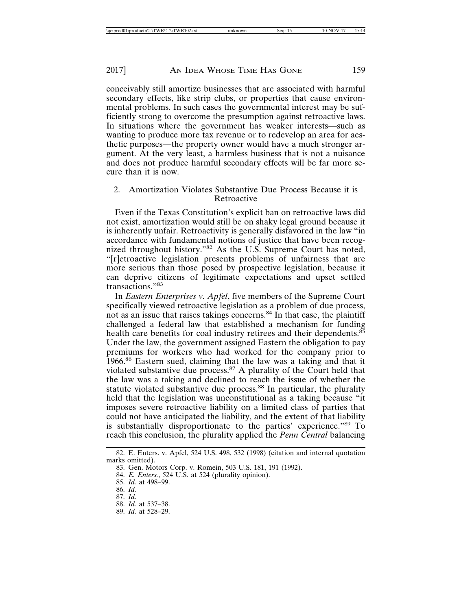conceivably still amortize businesses that are associated with harmful secondary effects, like strip clubs, or properties that cause environmental problems. In such cases the governmental interest may be sufficiently strong to overcome the presumption against retroactive laws. In situations where the government has weaker interests—such as wanting to produce more tax revenue or to redevelop an area for aesthetic purposes—the property owner would have a much stronger argument. At the very least, a harmless business that is not a nuisance and does not produce harmful secondary effects will be far more secure than it is now.

#### 2. Amortization Violates Substantive Due Process Because it is Retroactive

Even if the Texas Constitution's explicit ban on retroactive laws did not exist, amortization would still be on shaky legal ground because it is inherently unfair. Retroactivity is generally disfavored in the law "in accordance with fundamental notions of justice that have been recognized throughout history."<sup>82</sup> As the U.S. Supreme Court has noted, "[r]etroactive legislation presents problems of unfairness that are more serious than those posed by prospective legislation, because it can deprive citizens of legitimate expectations and upset settled transactions."83

In Eastern Enterprises v. Apfel, five members of the Supreme Court specifically viewed retroactive legislation as a problem of due process, not as an issue that raises takings concerns.<sup>84</sup> In that case, the plaintiff challenged a federal law that established a mechanism for funding health care benefits for coal industry retirees and their dependents.<sup>85</sup> Under the law, the government assigned Eastern the obligation to pay premiums for workers who had worked for the company prior to 1966.<sup>86</sup> Eastern sued, claiming that the law was a taking and that it violated substantive due process.<sup>87</sup> A plurality of the Court held that the law was a taking and declined to reach the issue of whether the statute violated substantive due process.<sup>88</sup> In particular, the plurality held that the legislation was unconstitutional as a taking because "it" imposes severe retroactive liability on a limited class of parties that could not have anticipated the liability, and the extent of that liability is substantially disproportionate to the parties' experience."<sup>89</sup> To reach this conclusion, the plurality applied the Penn Central balancing

88. Id. at 537-38. 89. Id. at 528-29.

<sup>82.</sup> E. Enters. v. Apfel, 524 U.S. 498, 532 (1998) (citation and internal quotation marks omitted).

<sup>83.</sup> Gen. Motors Corp. v. Romein, 503 U.S. 181, 191 (1992).

<sup>84.</sup> E. Enters., 524 U.S. at 524 (plurality opinion).

<sup>85.</sup> Id. at 498-99.

<sup>86.</sup> Id.

<sup>87.</sup> Id.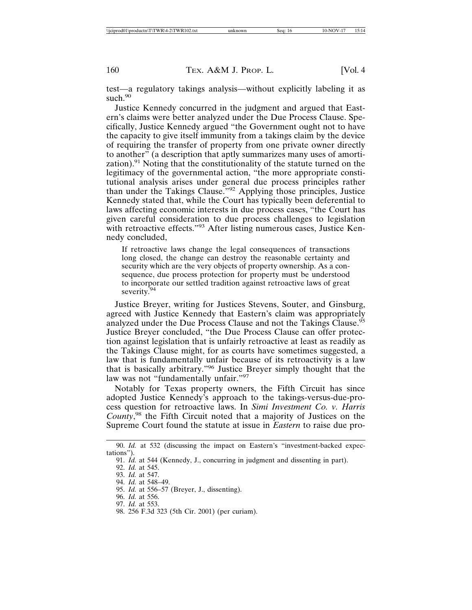test—a regulatory takings analysis—without explicitly labeling it as such. $90$ 

Justice Kennedy concurred in the judgment and argued that Eastern's claims were better analyzed under the Due Process Clause. Specifically, Justice Kennedy argued "the Government ought not to have the capacity to give itself immunity from a takings claim by the device of requiring the transfer of property from one private owner directly to another" (a description that aptly summarizes many uses of amortization).<sup>91</sup> Noting that the constitutionality of the statute turned on the legitimacy of the governmental action, "the more appropriate constitutional analysis arises under general due process principles rather than under the Takings Clause."<sup>92</sup> Applying those principles, Justice Kennedy stated that, while the Court has typically been deferential to laws affecting economic interests in due process cases, "the Court has given careful consideration to due process challenges to legislation with retroactive effects."<sup>93</sup> After listing numerous cases, Justice Kennedy concluded,

If retroactive laws change the legal consequences of transactions long closed, the change can destroy the reasonable certainty and security which are the very objects of property ownership. As a consequence, due process protection for property must be understood to incorporate our settled tradition against retroactive laws of great severity. $94$ 

Justice Breyer, writing for Justices Stevens, Souter, and Ginsburg, agreed with Justice Kennedy that Eastern's claim was appropriately analyzed under the Due Process Clause and not the Takings Clause.<sup>95</sup> Justice Breyer concluded, "the Due Process Clause can offer protection against legislation that is unfairly retroactive at least as readily as the Takings Clause might, for as courts have sometimes suggested, a law that is fundamentally unfair because of its retroactivity is a law that is basically arbitrary."<sup>96</sup> Justice Breyer simply thought that the law was not "fundamentally unfair."97

Notably for Texas property owners, the Fifth Circuit has since adopted Justice Kennedy's approach to the takings-versus-due-process question for retroactive laws. In Simi Investment Co. v. Harris County,<sup>98</sup> the Fifth Circuit noted that a majority of Justices on the Supreme Court found the statute at issue in *Eastern* to raise due pro-

92. Id. at 545.

93. *Id.* at 547. 94. Id. at 548-49.

- 96. Id. at 556.
- 97. *Id.* at 553.

<sup>90.</sup> Id. at 532 (discussing the impact on Eastern's "investment-backed expectations").

<sup>91.</sup> *Id.* at 544 (Kennedy, J., concurring in judgment and dissenting in part).

<sup>95.</sup> *Id.* at 556–57 (Breyer, J., dissenting).

<sup>98. 256</sup> F.3d 323 (5th Cir. 2001) (per curiam).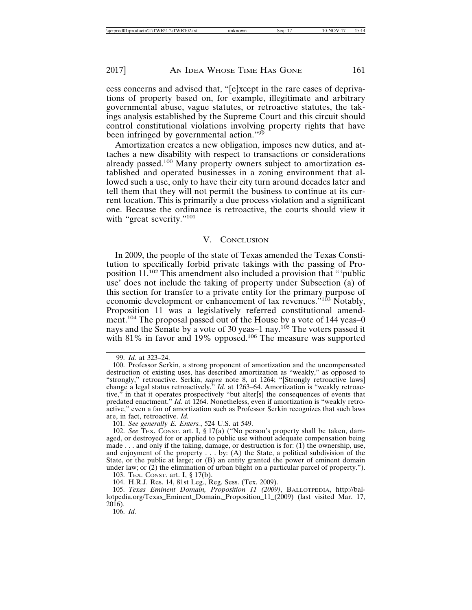cess concerns and advised that, "[e]xcept in the rare cases of deprivations of property based on, for example, illegitimate and arbitrary governmental abuse, vague statutes, or retroactive statutes, the takings analysis established by the Supreme Court and this circuit should control constitutional violations involving property rights that have been infringed by governmental action."<sup>99</sup>

Amortization creates a new obligation, imposes new duties, and attaches a new disability with respect to transactions or considerations already passed.<sup>100</sup> Many property owners subject to amortization established and operated businesses in a zoning environment that allowed such a use, only to have their city turn around decades later and tell them that they will not permit the business to continue at its current location. This is primarily a due process violation and a significant one. Because the ordinance is retroactive, the courts should view it with "great severity."<sup>101</sup>

#### V. CONCLUSION

In 2009, the people of the state of Texas amended the Texas Constitution to specifically forbid private takings with the passing of Proposition 11.<sup>102</sup> This amendment also included a provision that "'public use' does not include the taking of property under Subsection (a) of this section for transfer to a private entity for the primary purpose of economic development or enhancement of tax revenues.<sup>5103</sup> Notably, Proposition 11 was a legislatively referred constitutional amendment.<sup>104</sup> The proposal passed out of the House by a vote of 144 yeas-0 nays and the Senate by a vote of 30 yeas-1 nay.<sup>105</sup> The voters passed it with  $81\%$  in favor and 19% opposed.<sup>106</sup> The measure was supported

101. See generally E. Enters., 524 U.S. at 549.

102. See TEX. CONST. art. I, § 17(a) ("No person's property shall be taken, damaged, or destroyed for or applied to public use without adequate compensation being<br>made ... and only if the taking, damage, or destruction is for: (1) the ownership, use, and enjoyment of the property  $\dots$  by: (A) the State, a political subdivision of the State, or the public at large; or  $(B)$  an entity granted the power of eminent domain under law; or  $(2)$  the elimination of urban blight on a particular parcel of property.").

103. TEX. CONST. art. I, § 17(b).

104. H.R.J. Res. 14, 81st Leg., Reg. Sess. (Tex. 2009).

105. Texas Eminent Domain, Proposition 11 (2009), BALLOTPEDIA, http://ballotpedia.org/Texas\_Eminent\_Domain,\_Proposition\_11\_(2009) (last visited Mar. 17, 2016).

 $106.$  *Id.* 

<sup>99.</sup> *Id.* at 323-24.

<sup>100.</sup> Professor Serkin, a strong proponent of amortization and the uncompensated destruction of existing uses, has described amortization as "weakly," as opposed to "strongly," retroactive. Serkin, *supra* note 8, at 1264; "[Strongly retroactive laws] change a legal status retroactively." Id. at 1263-64. Amortization is "weakly retroactive," in that it operates prospectively "but alter[s] the consequences of events that predated enactment." Id. at 1264. Nonetheless, even if amortization is "weakly retroactive," even a fan of amortization such as Professor Serkin recognizes that such laws are, in fact, retroactive. Id.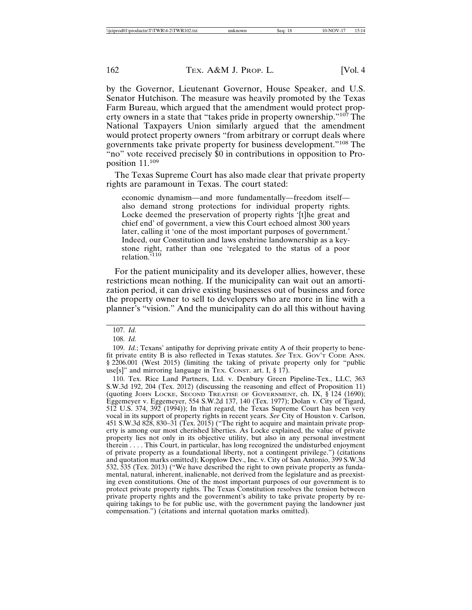by the Governor, Lieutenant Governor, House Speaker, and U.S. Senator Hutchison. The measure was heavily promoted by the Texas Farm Bureau, which argued that the amendment would protect property owners in a state that "takes pride in property ownership."<sup>107</sup> The National Taxpayers Union similarly argued that the amendment would protect property owners "from arbitrary or corrupt deals where governments take private property for business development."<sup>108</sup> The "no" vote received precisely \$0 in contributions in opposition to Proposition 11.109

The Texas Supreme Court has also made clear that private property rights are paramount in Texas. The court stated:

economic dynamism—and more fundamentally—freedom itself also demand strong protections for individual property rights. Locke deemed the preservation of property rights '[t] he great and chief end' of government, a view this Court echoed almost 300 years later, calling it 'one of the most important purposes of government.' Indeed, our Constitution and laws enshrine landownership as a keystone right, rather than one 'relegated to the status of a poor relation.<sup>5110</sup>

For the patient municipality and its developer allies, however, these restrictions mean nothing. If the municipality can wait out an amortization period, it can drive existing businesses out of business and force the property owner to sell to developers who are more in line with a planner's "vision." And the municipality can do all this without having

110. Tex. Rice Land Partners, Ltd. v. Denbury Green Pipeline-Tex., LLC, 363 S.W.3d 192, 204 (Tex. 2012) (discussing the reasoning and effect of Proposition 11) (quoting JOHN LOCKE, SECOND TREATISE OF GOVERNMENT, ch. IX, § 124 (1690); Eggemeyer v. Eggemeyer, 554 S.W.2d 137, 140 (Tex. 1977); Dolan v. City of Tigard, 512 U.S. 374, 392 (1994)); In that regard, the Texas Supreme Court has been very vocal in its support of property rights in recent years. See City of Houston v. Carlson, 451 S.W.3d 828, 830–31 (Tex. 2015) ("The right to acquire and maintain private property is among our most cherished liberties. As Locke explained, the value of private property lies not only in its objective utility, but also in any personal investment therein . . . . This Court, in particular, has long recognized the undisturbed enjoyment of private property as a foundational liberty, not a contingent privilege.") (citations and quotation marks omitted); Kopplow Dev., Inc. v. City of San Antonio, 399 S.W.3d 532, 535 (Tex. 2013) ("We have described the right to own private property as fundamental, natural, inherent, inalienable, not derived from the legislature and as preexisting even constitutions. One of the most important purposes of our government is to protect private property rights. The Texas Constitution resolves the tension between private property rights and the government's ability to take private property by requiring takings to be for public use, with the government paying the landowner just compensation.") (citations and internal quotation marks omitted).

<sup>107.</sup> Id.

<sup>108.</sup> Id.

<sup>109.</sup> Id.; Texans' antipathy for depriving private entity A of their property to benefit private entity B is also reflected in Texas statutes. See TEX. GOV'T CODE ANN. § 2206.001 (West 2015) (limiting the taking of private property only for "public use[s]" and mirroring language in TEX. CONST. art. I,  $\S 17$ .